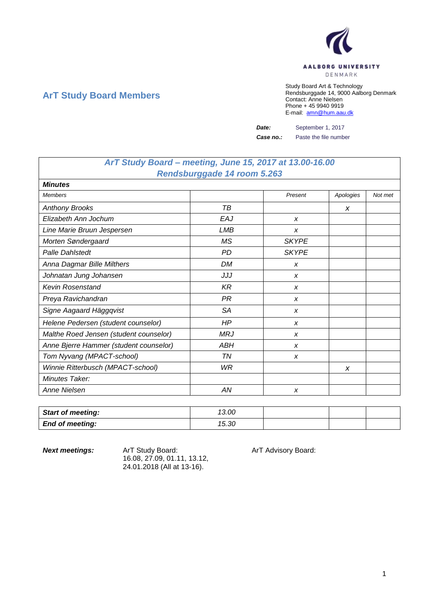

# **ArT Study Board Members**

Study Board Art & Technology Rendsburggade 14, 9000 Aalborg Denmark Contact: Anne Nielsen Phone + 45 9940 9919 E-mail: [amn@hum.aau.dk](mailto:amn@hum.aau.dk)

**Date:** September 1, 2017

*Case no.:* Paste the file number

# *ArT Study Board – meeting, June 15, 2017 at 13.00-16.00 Rendsburggade 14 room 5.263*

| <b>Minutes</b>                         |            |              |           |         |
|----------------------------------------|------------|--------------|-----------|---------|
| <b>Members</b>                         |            | Present      | Apologies | Not met |
| <b>Anthony Brooks</b>                  | TB         |              | X         |         |
| Elizabeth Ann Jochum                   | EAJ        | X            |           |         |
| Line Marie Bruun Jespersen             | LMB        | X            |           |         |
| Morten Søndergaard                     | <b>MS</b>  | <b>SKYPE</b> |           |         |
| Palle Dahlstedt                        | <b>PD</b>  | <b>SKYPE</b> |           |         |
| Anna Dagmar Bille Milthers             | <b>DM</b>  | X            |           |         |
| Johnatan Jung Johansen                 | JJJ        | X            |           |         |
| <b>Kevin Rosenstand</b>                | K R        | X            |           |         |
| Preya Ravichandran                     | PR         | X            |           |         |
| Signe Aagaard Häggqvist                | <b>SA</b>  | X            |           |         |
| Helene Pedersen (student counselor)    | HP         | X            |           |         |
| Malthe Roed Jensen (student counselor) | <b>MRJ</b> | X            |           |         |
| Anne Bjerre Hammer (student counselor) | ABH        | X            |           |         |
| Tom Nyvang (MPACT-school)              | ΤN         | X            |           |         |
| Winnie Ritterbusch (MPACT-school)      | WR         |              | X         |         |
| Minutes Taker:                         |            |              |           |         |
| Anne Nielsen                           | AN         | X            |           |         |

| <b>Start of meeting:</b> | 13.00 |  |  |
|--------------------------|-------|--|--|
| <b>End of meeting:</b>   | 15.30 |  |  |

**Next meetings:** Art Study Board: Art Advisory Board: 16.08, 27.09, 01.11, 13.12, 24.01.2018 (All at 13-16).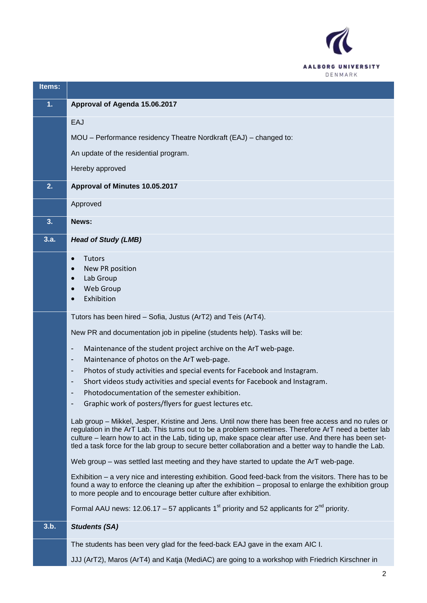

| Items: |                                                                                                                                                                                                                                                                                                                                                                                                                                |
|--------|--------------------------------------------------------------------------------------------------------------------------------------------------------------------------------------------------------------------------------------------------------------------------------------------------------------------------------------------------------------------------------------------------------------------------------|
| 1.     | Approval of Agenda 15.06.2017                                                                                                                                                                                                                                                                                                                                                                                                  |
|        | EAJ                                                                                                                                                                                                                                                                                                                                                                                                                            |
|        | MOU - Performance residency Theatre Nordkraft (EAJ) - changed to:                                                                                                                                                                                                                                                                                                                                                              |
|        | An update of the residential program.                                                                                                                                                                                                                                                                                                                                                                                          |
|        | Hereby approved                                                                                                                                                                                                                                                                                                                                                                                                                |
| 2.     | Approval of Minutes 10.05.2017                                                                                                                                                                                                                                                                                                                                                                                                 |
|        | Approved                                                                                                                                                                                                                                                                                                                                                                                                                       |
| 3.     | News:                                                                                                                                                                                                                                                                                                                                                                                                                          |
| 3.a.   | <b>Head of Study (LMB)</b>                                                                                                                                                                                                                                                                                                                                                                                                     |
|        | <b>Tutors</b><br>$\bullet$                                                                                                                                                                                                                                                                                                                                                                                                     |
|        | New PR position                                                                                                                                                                                                                                                                                                                                                                                                                |
|        | Lab Group<br>$\bullet$<br>Web Group<br>$\bullet$                                                                                                                                                                                                                                                                                                                                                                               |
|        | Exhibition                                                                                                                                                                                                                                                                                                                                                                                                                     |
|        |                                                                                                                                                                                                                                                                                                                                                                                                                                |
|        | Tutors has been hired - Sofia, Justus (ArT2) and Teis (ArT4).                                                                                                                                                                                                                                                                                                                                                                  |
|        | New PR and documentation job in pipeline (students help). Tasks will be:                                                                                                                                                                                                                                                                                                                                                       |
|        | Maintenance of the student project archive on the ArT web-page.<br>$\overline{\phantom{a}}$                                                                                                                                                                                                                                                                                                                                    |
|        | Maintenance of photos on the ArT web-page.<br>$\overline{\phantom{a}}$                                                                                                                                                                                                                                                                                                                                                         |
|        | Photos of study activities and special events for Facebook and Instagram.<br>$\overline{\phantom{a}}$                                                                                                                                                                                                                                                                                                                          |
|        | Short videos study activities and special events for Facebook and Instagram.<br>$\overline{a}$                                                                                                                                                                                                                                                                                                                                 |
|        | Photodocumentation of the semester exhibition.                                                                                                                                                                                                                                                                                                                                                                                 |
|        | Graphic work of posters/flyers for guest lectures etc.                                                                                                                                                                                                                                                                                                                                                                         |
|        | Lab group – Mikkel, Jesper, Kristine and Jens. Until now there has been free access and no rules or<br>regulation in the ArT Lab. This turns out to be a problem sometimes. Therefore ArT need a better lab<br>culture - learn how to act in the Lab, tiding up, make space clear after use. And there has been set-<br>tled a task force for the lab group to secure better collaboration and a better way to handle the Lab. |
|        | Web group – was settled last meeting and they have started to update the ArT web-page.                                                                                                                                                                                                                                                                                                                                         |
|        | Exhibition – a very nice and interesting exhibition. Good feed-back from the visitors. There has to be<br>found a way to enforce the cleaning up after the exhibition - proposal to enlarge the exhibition group<br>to more people and to encourage better culture after exhibition.                                                                                                                                           |
|        | Formal AAU news: 12.06.17 – 57 applicants 1 <sup>st</sup> priority and 52 applicants for $2^{nd}$ priority.                                                                                                                                                                                                                                                                                                                    |
| 3.b.   | <b>Students (SA)</b>                                                                                                                                                                                                                                                                                                                                                                                                           |
|        | The students has been very glad for the feed-back EAJ gave in the exam AIC I.                                                                                                                                                                                                                                                                                                                                                  |
|        | JJJ (ArT2), Maros (ArT4) and Katja (MediAC) are going to a workshop with Friedrich Kirschner in                                                                                                                                                                                                                                                                                                                                |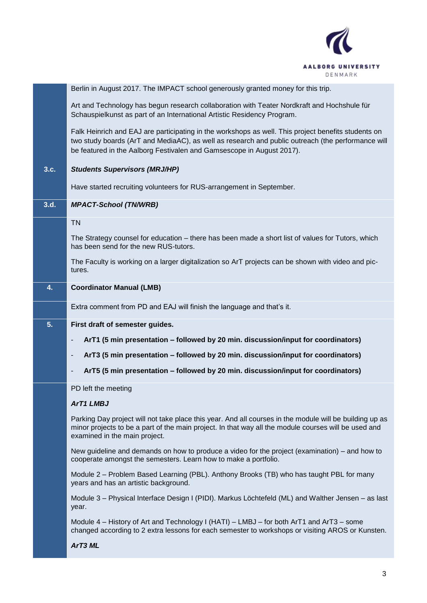

|      | Berlin in August 2017. The IMPACT school generously granted money for this trip.                                                                                                                                                                                                  |
|------|-----------------------------------------------------------------------------------------------------------------------------------------------------------------------------------------------------------------------------------------------------------------------------------|
|      | Art and Technology has begun research collaboration with Teater Nordkraft and Hochshule für<br>Schauspielkunst as part of an International Artistic Residency Program.                                                                                                            |
|      | Falk Heinrich and EAJ are participating in the workshops as well. This project benefits students on<br>two study boards (ArT and MediaAC), as well as research and public outreach (the performance will<br>be featured in the Aalborg Festivalen and Gamsescope in August 2017). |
| 3.c. | <b>Students Supervisors (MRJ/HP)</b>                                                                                                                                                                                                                                              |
|      | Have started recruiting volunteers for RUS-arrangement in September.                                                                                                                                                                                                              |
| 3.d. | <b>MPACT-School (TN/WRB)</b>                                                                                                                                                                                                                                                      |
|      | <b>TN</b>                                                                                                                                                                                                                                                                         |
|      | The Strategy counsel for education – there has been made a short list of values for Tutors, which<br>has been send for the new RUS-tutors.                                                                                                                                        |
|      | The Faculty is working on a larger digitalization so ArT projects can be shown with video and pic-<br>tures.                                                                                                                                                                      |
| 4.   | <b>Coordinator Manual (LMB)</b>                                                                                                                                                                                                                                                   |
|      | Extra comment from PD and EAJ will finish the language and that's it.                                                                                                                                                                                                             |
| 5.   | First draft of semester guides.                                                                                                                                                                                                                                                   |
|      | ArT1 (5 min presentation - followed by 20 min. discussion/input for coordinators)<br>-                                                                                                                                                                                            |
|      | ArT3 (5 min presentation - followed by 20 min. discussion/input for coordinators)<br>-                                                                                                                                                                                            |
|      | ArT5 (5 min presentation - followed by 20 min. discussion/input for coordinators)<br>-                                                                                                                                                                                            |
|      | PD left the meeting                                                                                                                                                                                                                                                               |
|      | <b>ArT1 LMBJ</b>                                                                                                                                                                                                                                                                  |
|      | Parking Day project will not take place this year. And all courses in the module will be building up as<br>minor projects to be a part of the main project. In that way all the module courses will be used and<br>examined in the main project.                                  |
|      | New guideline and demands on how to produce a video for the project (examination) – and how to<br>cooperate amongst the semesters. Learn how to make a portfolio.                                                                                                                 |
|      | Module 2 – Problem Based Learning (PBL). Anthony Brooks (TB) who has taught PBL for many<br>years and has an artistic background.                                                                                                                                                 |
|      |                                                                                                                                                                                                                                                                                   |
|      | Module 3 – Physical Interface Design I (PIDI). Markus Löchtefeld (ML) and Walther Jensen – as last<br>year.                                                                                                                                                                       |
|      | Module 4 – History of Art and Technology I (HATI) – LMBJ – for both ArT1 and ArT3 – some<br>changed according to 2 extra lessons for each semester to workshops or visiting AROS or Kunsten.                                                                                      |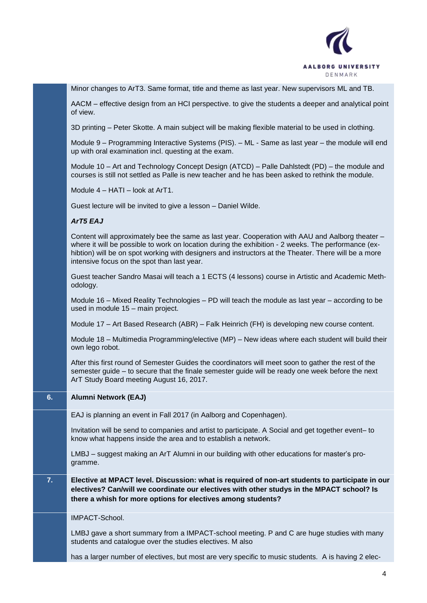

Minor changes to ArT3. Same format, title and theme as last year. New supervisors ML and TB.

AACM – effective design from an HCI perspective. to give the students a deeper and analytical point of view.

3D printing – Peter Skotte. A main subject will be making flexible material to be used in clothing.

Module 9 – Programming Interactive Systems (PIS). – ML - Same as last year – the module will end up with oral examination incl. questing at the exam.

Module 10 – Art and Technology Concept Design (ATCD) – Palle Dahlstedt (PD) – the module and courses is still not settled as Palle is new teacher and he has been asked to rethink the module.

Module 4 – HATI – look at ArT1.

Guest lecture will be invited to give a lesson – Daniel Wilde.

### *ArT5 EAJ*

Content will approximately bee the same as last year. Cooperation with AAU and Aalborg theater – where it will be possible to work on location during the exhibition - 2 weeks. The performance (exhibtion) will be on spot working with designers and instructors at the Theater. There will be a more intensive focus on the spot than last year.

Guest teacher Sandro Masai will teach a 1 ECTS (4 lessons) course in Artistic and Academic Methodology.

Module 16 – Mixed Reality Technologies – PD will teach the module as last year – according to be used in module 15 – main project.

Module 17 – Art Based Research (ABR) – Falk Heinrich (FH) is developing new course content.

Module 18 – Multimedia Programming/elective (MP) – New ideas where each student will build their own lego robot.

After this first round of Semester Guides the coordinators will meet soon to gather the rest of the semester guide – to secure that the finale semester guide will be ready one week before the next ArT Study Board meeting August 16, 2017.

## **6. Alumni Network (EAJ)**

EAJ is planning an event in Fall 2017 (in Aalborg and Copenhagen).

Invitation will be send to companies and artist to participate. A Social and get together event– to know what happens inside the area and to establish a network.

LMBJ – suggest making an ArT Alumni in our building with other educations for master's programme.

**7. Elective at MPACT level. Discussion: what is required of non-art students to participate in our electives? Can/will we coordinate our electives with other studys in the MPACT school? Is there a whish for more options for electives among students?**

IMPACT-School.

LMBJ gave a short summary from a IMPACT-school meeting. P and C are huge studies with many students and catalogue over the studies electives. M also

has a larger number of electives, but most are very specific to music students. A is having 2 elec-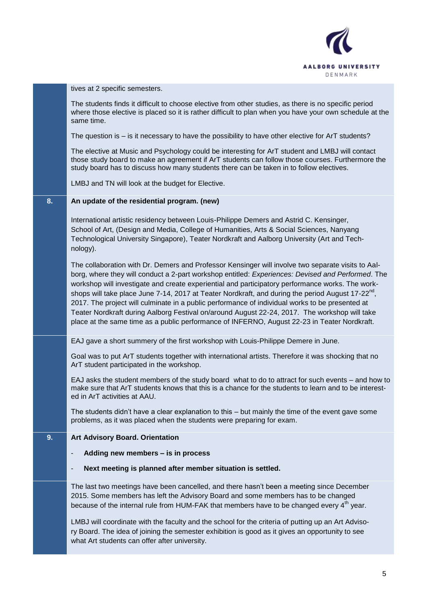

tives at 2 specific semesters.

The students finds it difficult to choose elective from other studies, as there is no specific period where those elective is placed so it is rather difficult to plan when you have your own schedule at the same time.

The question is – is it necessary to have the possibility to have other elective for ArT students?

The elective at Music and Psychology could be interesting for ArT student and LMBJ will contact those study board to make an agreement if ArT students can follow those courses. Furthermore the study board has to discuss how many students there can be taken in to follow electives.

LMBJ and TN will look at the budget for Elective.

#### **8. An update of the residential program. (new)**

International artistic residency between Louis-Philippe Demers and Astrid C. Kensinger, School of Art, (Design and Media, College of Humanities, Arts & Social Sciences, Nanyang Technological University Singapore), Teater Nordkraft and Aalborg University (Art and Technology).

The collaboration with Dr. Demers and Professor Kensinger will involve two separate visits to Aalborg, where they will conduct a 2-part workshop entitled: *Experiences: Devised and Performed*. The workshop will investigate and create experiential and participatory performance works. The workshops will take place June 7-14, 2017 at Teater Nordkraft, and during the period August 17-22<sup>nd</sup>, 2017. The project will culminate in a public performance of individual works to be presented at Teater Nordkraft during Aalborg Festival on/around August 22-24, 2017. The workshop will take place at the same time as a public performance of INFERNO, August 22-23 in Teater Nordkraft.

EAJ gave a short summery of the first workshop with Louis-Philippe Demere in June.

Goal was to put ArT students together with international artists. Therefore it was shocking that no ArT student participated in the workshop.

EAJ asks the student members of the study board what to do to attract for such events – and how to make sure that ArT students knows that this is a chance for the students to learn and to be interested in ArT activities at AAU.

The students didn't have a clear explanation to this – but mainly the time of the event gave some problems, as it was placed when the students were preparing for exam.

### **9. Art Advisory Board. Orientation**

#### - **Adding new members – is in process**

#### - **Next meeting is planned after member situation is settled.**

The last two meetings have been cancelled, and there hasn't been a meeting since December 2015. Some members has left the Advisory Board and some members has to be changed because of the internal rule from HUM-FAK that members have to be changed every  $4<sup>th</sup>$  year.

LMBJ will coordinate with the faculty and the school for the criteria of putting up an Art Advisory Board. The idea of joining the semester exhibition is good as it gives an opportunity to see what Art students can offer after university.